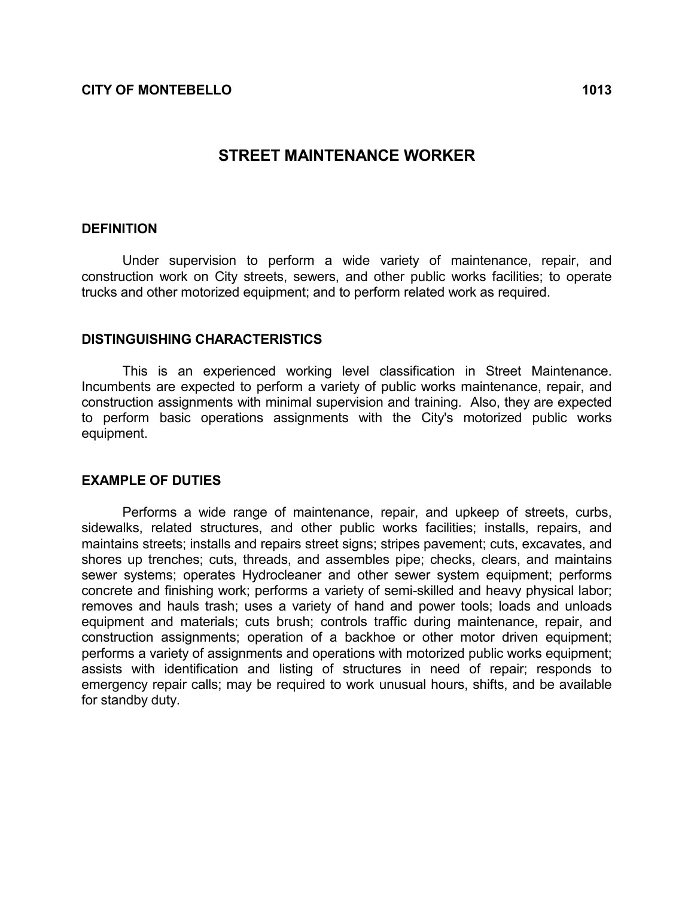# STREET MAINTENANCE WORKER

#### **DEFINITION**

 Under supervision to perform a wide variety of maintenance, repair, and construction work on City streets, sewers, and other public works facilities; to operate trucks and other motorized equipment; and to perform related work as required.

#### DISTINGUISHING CHARACTERISTICS

 This is an experienced working level classification in Street Maintenance. Incumbents are expected to perform a variety of public works maintenance, repair, and construction assignments with minimal supervision and training. Also, they are expected to perform basic operations assignments with the City's motorized public works equipment.

### EXAMPLE OF DUTIES

 Performs a wide range of maintenance, repair, and upkeep of streets, curbs, sidewalks, related structures, and other public works facilities; installs, repairs, and maintains streets; installs and repairs street signs; stripes pavement; cuts, excavates, and shores up trenches; cuts, threads, and assembles pipe; checks, clears, and maintains sewer systems; operates Hydrocleaner and other sewer system equipment; performs concrete and finishing work; performs a variety of semi-skilled and heavy physical labor; removes and hauls trash; uses a variety of hand and power tools; loads and unloads equipment and materials; cuts brush; controls traffic during maintenance, repair, and construction assignments; operation of a backhoe or other motor driven equipment; performs a variety of assignments and operations with motorized public works equipment; assists with identification and listing of structures in need of repair; responds to emergency repair calls; may be required to work unusual hours, shifts, and be available for standby duty.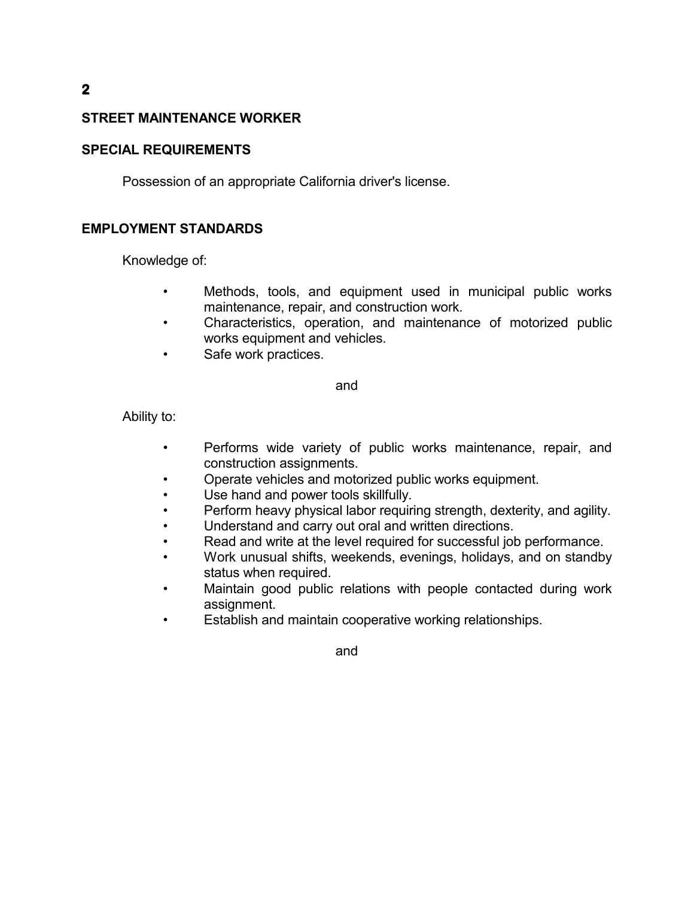# STREET MAINTENANCE WORKER

### SPECIAL REQUIREMENTS

Possession of an appropriate California driver's license.

## EMPLOYMENT STANDARDS

Knowledge of:

- Methods, tools, and equipment used in municipal public works maintenance, repair, and construction work.
- Characteristics, operation, and maintenance of motorized public works equipment and vehicles.
- Safe work practices.

and

Ability to:

- Performs wide variety of public works maintenance, repair, and construction assignments.
- Operate vehicles and motorized public works equipment.
- Use hand and power tools skillfully.
- Perform heavy physical labor requiring strength, dexterity, and agility.
- Understand and carry out oral and written directions.
- Read and write at the level required for successful job performance.
- Work unusual shifts, weekends, evenings, holidays, and on standby status when required.
- Maintain good public relations with people contacted during work assignment.
- Establish and maintain cooperative working relationships.